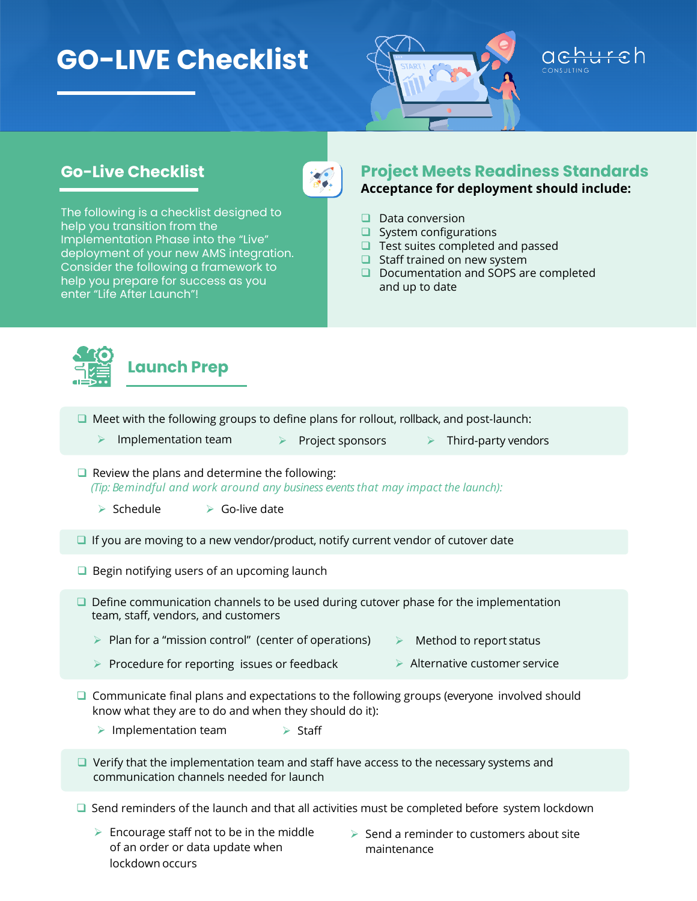## **GO-LIVE Checklist**



## **Go-Live Checklist**



The following is a checklist designed to help you transition from the Implementation Phase into the "Live" deployment of your new AMS integration. Consider the following a framework to help you prepare for success as you enter "Life After Launch"!

## **Project Meets Readiness Standards Acceptance for deployment should include:**

- $\Box$  Data conversion
- $\Box$  System configurations
- $\Box$  Test suites completed and passed
- $\Box$  Staff trained on new system
- □ Documentation and SOPS are completed and up to date



 $\Box$  Meet with the following groups to define plans for rollout, rollback, and post-launch:

- **Examplementation team**  $\triangleright$  Project sponsors  $\triangleright$  Third-party vendors
- $\Box$  Review the plans and determine the following: *(Tip: Be mindful and work around any business events that may impact the launch):*
	- $\triangleright$  Schedule  $\triangleright$  Go-live date
- $\Box$  If you are moving to a new vendor/product, notify current vendor of cutover date
- $\Box$  Begin notifying users of an upcoming launch
- $\Box$  Define communication channels to be used during cutover phase for the implementation team, staff, vendors, and customers
	- $\triangleright$  Plan for a "mission control" (center of operations)  $\triangleright$  Method to report status
	- **EX** Procedure for reporting issues or feedback **Alternative customer service**
- $\Box$  Communicate final plans and expectations to the following groups (everyone involved should know what they are to do and when they should do it):
	- $\triangleright$  Implementation team  $\triangleright$  Staff
- $\Box$  Verify that the implementation team and staff have access to the necessary systems and communication channels needed for launch
- $\Box$  Send reminders of the launch and that all activities must be completed before system lockdown
	- $\triangleright$  Encourage staff not to be in the middle of an order or data update when lockdown occurs
- $\triangleright$  Send a reminder to customers about site maintenance